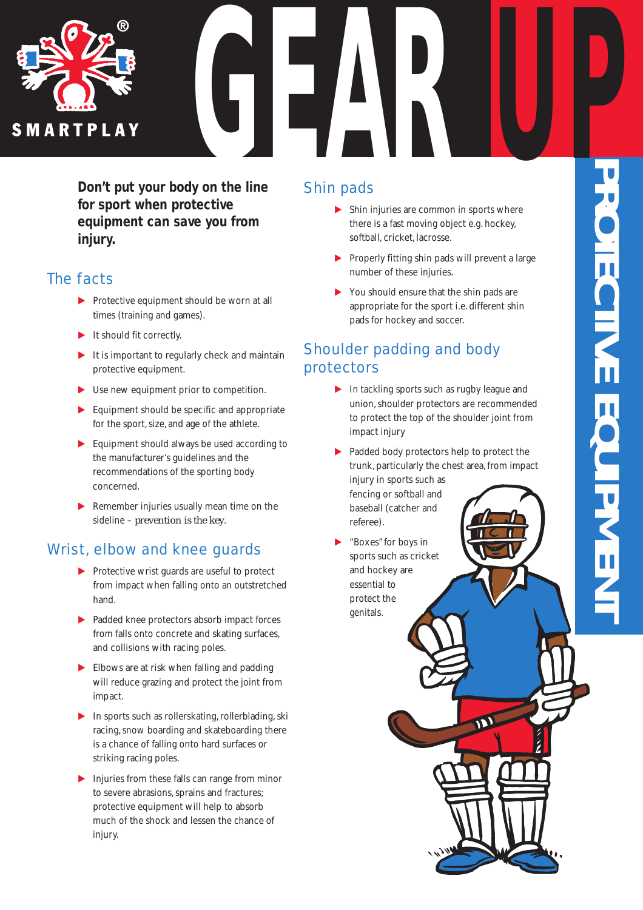

*Don't put your body on the line for sport when protective equipment can save you from injury.*

## The facts

- $\blacktriangleright$  Protective equipment should be worn at all times (training and games).
- $\blacktriangleright$  It should fit correctly.
- $\blacktriangleright$  It is important to regularly check and maintain protective equipment.
- $\blacktriangleright$  Use new equipment prior to competition.
- $\blacktriangleright$  Equipment should be specific and appropriate for the sport, size, and age of the athlete.
- $\blacktriangleright$  Equipment should always be used according to the manufacturer's guidelines and the recommendations of the sporting body concerned.
- $\blacktriangleright$  Remember injuries usually mean time on the sideline – *prevention is the key*.

# Wrist, elbow and knee guards

- E Protective wrist guards are useful to protect from impact when falling onto an outstretched hand.
- E Padded knee protectors absorb impact forces from falls onto concrete and skating surfaces, and collisions with racing poles.
- $\blacktriangleright$  Elbows are at risk when falling and padding will reduce grazing and protect the joint from impact.
- $\blacktriangleright$  In sports such as rollerskating, rollerblading, ski racing,snow boarding and skateboarding there is a chance of falling onto hard surfaces or striking racing poles.
- $\blacktriangleright$  Injuries from these falls can range from minor to severe abrasions, sprains and fractures; protective equipment will help to absorb much of the shock and lessen the chance of injury.

# Shin pads

- $\blacktriangleright$  Shin injuries are common in sports where there is a fast moving object e.g. hockey, softball, cricket, lacrosse.
- **EXECUTE:** Properly fitting shin pads will prevent a large number of these injuries.
- $\triangleright$  You should ensure that the shin pads are appropriate for the sport i.e. different shin pads for hockey and soccer.

# Shoulder padding and body protectors

- $\blacktriangleright$  In tackling sports such as rugby league and union,shoulder protectors are recommended to protect the top of the shoulder joint from impact injury
- Padded body protectors help to protect the trunk, particularly the chest area, from impact injury in sports such as fencing or softball and baseball (catcher and
- "Boxes" for boys in sports such as cricket and hockey are essential to protect the genitals.

referee).

**PROTECTIVE EQUIPME NT**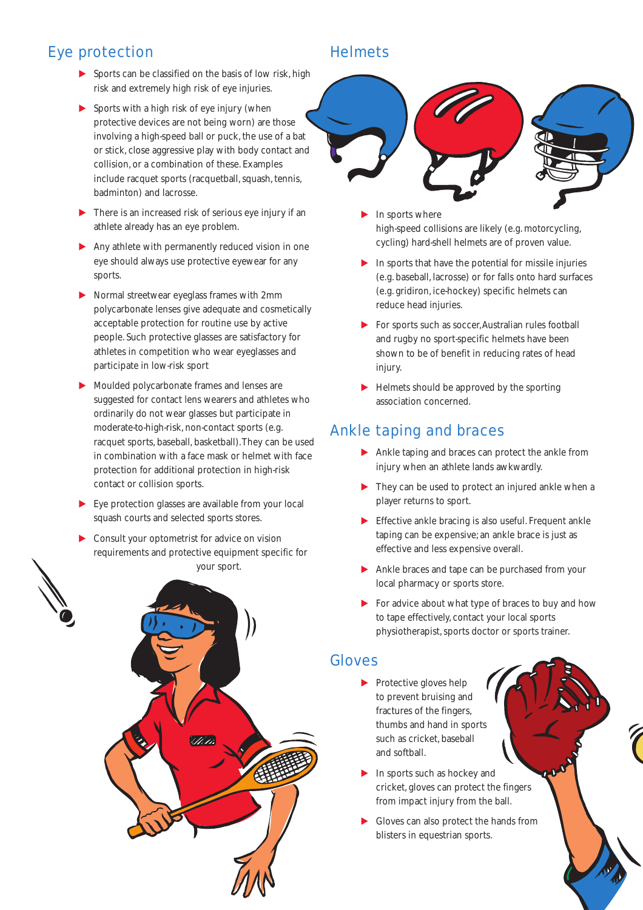## Eye protection

- E Sports can be classified on the basis of low risk, high risk and extremely high risk of eye injuries.
- $\blacktriangleright$  Sports with a high risk of eye injury (when protective devices are not being worn) are those involving a high-speed ball or puck, the use of a bat or stick, close aggressive play with body contact and collision, or a combination of these. Examples include racquet sports (racquetball, squash, tennis, badminton) and lacrosse.
- $\blacktriangleright$  There is an increased risk of serious eye injury if an athlete already has an eye problem.
- $\blacktriangleright$  Any athlete with permanently reduced vision in one eye should always use protective eyewear for any sports.
- E Normal streetwear eyeglass frames with 2mm polycarbonate lenses give adequate and cosmetically acceptable protection for routine use by active people. Such protective glasses are satisfactory for athletes in competition who wear eyeglasses and participate in low-risk sport
- E Moulded polycarbonate frames and lenses are suggested for contact lens wearers and athletes who ordinarily do not wear glasses but participate in moderate-to-high-risk, non-contact sports (e.g. racquet sports, baseball, basketball).They can be used in combination with a face mask or helmet with face protection for additional protection in high-risk contact or collision sports.
- $\blacktriangleright$  Eve protection glasses are available from your local squash courts and selected sports stores.
- $\triangleright$  Consult your optometrist for advice on vision requirements and protective equipment specific for your sport.



## **Helmets**



- In sports where high-speed collisions are likely (e.g. motorcycling, cycling) hard-shell helmets are of proven value.
- In sports that have the potential for missile injuries (e.g. baseball, lacrosse) or for falls onto hard surfaces (e.g. gridiron, ice-hockey) specific helmets can reduce head injuries.
- $\blacktriangleright$  For sports such as soccer, Australian rules football and rugby no sport-specific helmets have been shown to be of benefit in reducing rates of head injury.
- $\blacktriangleright$  Helmets should be approved by the sporting association concerned.

## Ankle taping and braces

- E Ankle taping and braces can protect the ankle from injury when an athlete lands awkwardly.
- $\blacktriangleright$  They can be used to protect an injured ankle when a player returns to sport.
- $\blacktriangleright$  Effective ankle bracing is also useful. Frequent ankle taping can be expensive; an ankle brace is just as effective and less expensive overall.
- E Ankle braces and tape can be purchased from your local pharmacy or sports store.
- $\triangleright$  For advice about what type of braces to buy and how to tape effectively, contact your local sports physiotherapist, sports doctor or sports trainer.

### Gloves

- $\blacktriangleright$  Protective gloves help to prevent bruising and fractures of the fingers, thumbs and hand in sports such as cricket, baseball and softball.
- $\blacktriangleright$  In sports such as hockey and cricket, gloves can protect the fingers from impact injury from the ball.
- E Gloves can also protect the hands from blisters in equestrian sports.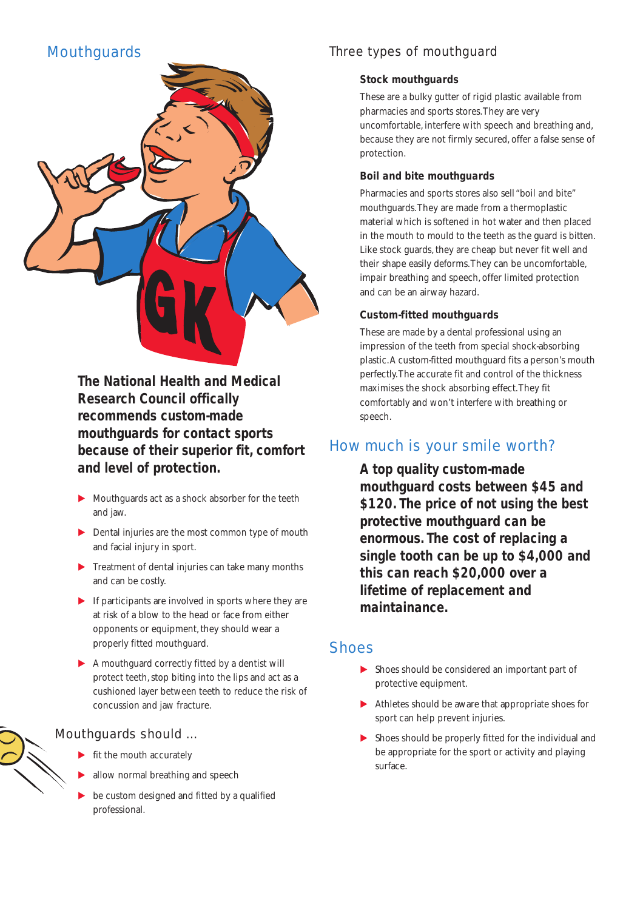## **Mouthguards**



*The National Health and Medical Research Council offically recommends custom-made mouthguards for contact sports because of their superior fit, comfort and level of protection.*

- $\blacktriangleright$  Mouthguards act as a shock absorber for the teeth and jaw.
- **EXECUTE:** Dental injuries are the most common type of mouth and facial injury in sport.
- $\blacktriangleright$  Treatment of dental injuries can take many months and can be costly.
- $\blacktriangleright$  If participants are involved in sports where they are at risk of a blow to the head or face from either opponents or equipment, they should wear a properly fitted mouthguard.
- $\blacktriangleright$  A mouthguard correctly fitted by a dentist will protect teeth, stop biting into the lips and act as a cushioned layer between teeth to reduce the risk of concussion and jaw fracture.

#### Mouthguards should …

- fit the mouth accurately
- allow normal breathing and speech
- be custom designed and fitted by a qualified professional.

## Three types of mouthguard

#### *Stock mouthguards*

These are a bulky gutter of rigid plastic available from pharmacies and sports stores.They are very uncomfortable, interfere with speech and breathing and, because they are not firmly secured, offer a false sense of protection.

#### *Boil and bite mouthguards*

Pharmacies and sports stores also sell "boil and bite" mouthguards.They are made from a thermoplastic material which is softened in hot water and then placed in the mouth to mould to the teeth as the guard is bitten. Like stock guards, they are cheap but never fit well and their shape easily deforms.They can be uncomfortable, impair breathing and speech, offer limited protection and can be an airway hazard.

#### *Custom-fitted mouthguards*

These are made by a dental professional using an impression of the teeth from special shock-absorbing plastic.A custom-fitted mouthguard fits a person's mouth perfectly.The accurate fit and control of the thickness maximises the shock absorbing effect.They fit comfortably and won't interfere with breathing or speech.

### How much is your smile worth?

*A top quality custom-made mouthguard costs between \$45 and \$120. The price of not using the best protective mouthguard can be enormous. The cost of replacing a single tooth can be up to \$4,000 and this can reach \$20,000 over a lifetime of replacement and maintainance.*

### **Shoes**

- $\triangleright$  Shoes should be considered an important part of protective equipment.
- $\blacktriangleright$  Athletes should be aware that appropriate shoes for sport can help prevent injuries.
- $\triangleright$  Shoes should be properly fitted for the individual and be appropriate for the sport or activity and playing surface.